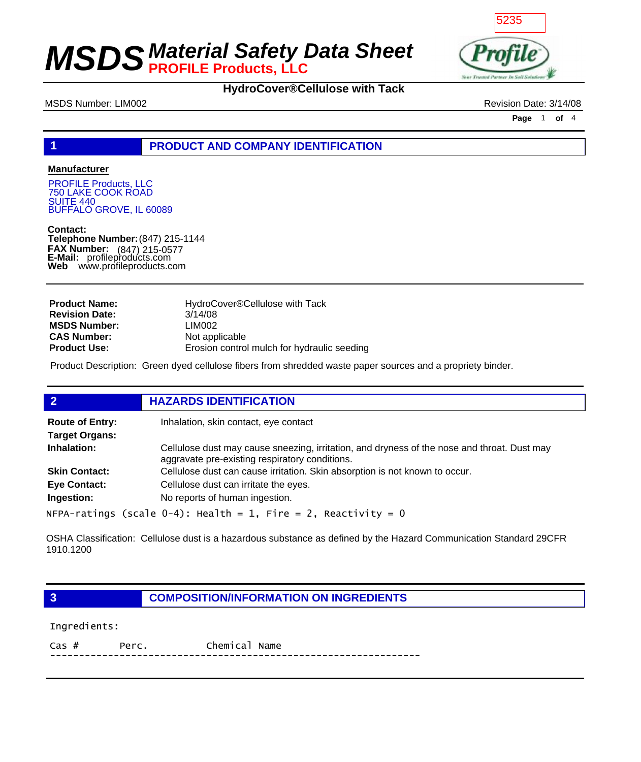

### **HydroCover®Cellulose with Tack**

MSDS Number: LIM002 Revision Date: 3/14/08

**Page** 1 **of** 4

### **1 PRODUCT AND COMPANY IDENTIFICATION**

#### **Manufacturer**

PROFILE Products, LLC 750 LAKE COOK ROAD **SUITE 440** BUFFALO GROVE, IL 60089

**Contact: Telephone Number:** (847) 215-1144 **FAX Number: FAX Number:** (847) 215-0577<br>**E-Mail:** profileproducts.com **Web** www.profileproducts.com

| <b>Product Name:</b>  | HydroCover®Cellulose with Tack              |
|-----------------------|---------------------------------------------|
| <b>Revision Date:</b> | 3/14/08                                     |
| <b>MSDS Number:</b>   | LIM002                                      |
| <b>CAS Number:</b>    | Not applicable                              |
| <b>Product Use:</b>   | Erosion control mulch for hydraulic seeding |

Product Description: Green dyed cellulose fibers from shredded waste paper sources and a propriety binder.

| $\overline{2}$                                  | <b>HAZARDS IDENTIFICATION</b>                                                                                                                 |
|-------------------------------------------------|-----------------------------------------------------------------------------------------------------------------------------------------------|
| <b>Route of Entry:</b><br><b>Target Organs:</b> | Inhalation, skin contact, eye contact                                                                                                         |
| Inhalation:                                     | Cellulose dust may cause sneezing, irritation, and dryness of the nose and throat. Dust may<br>aggravate pre-existing respiratory conditions. |
| <b>Skin Contact:</b>                            | Cellulose dust can cause irritation. Skin absorption is not known to occur.                                                                   |
| <b>Eye Contact:</b>                             | Cellulose dust can irritate the eyes.                                                                                                         |
| Ingestion:                                      | No reports of human ingestion.                                                                                                                |
|                                                 | <code>NFPA-ratings</code> (scale 0-4): <code>Health = 1, Fire = 2, Reactivity = 0</code>                                                      |

OSHA Classification: Cellulose dust is a hazardous substance as defined by the Hazard Communication Standard 29CFR 1910.1200

**3 COMPOSITION/INFORMATION ON INGREDIENTS**

Ingredients:

Cas # Perc. Chemical Name ----------------------------------------------------------------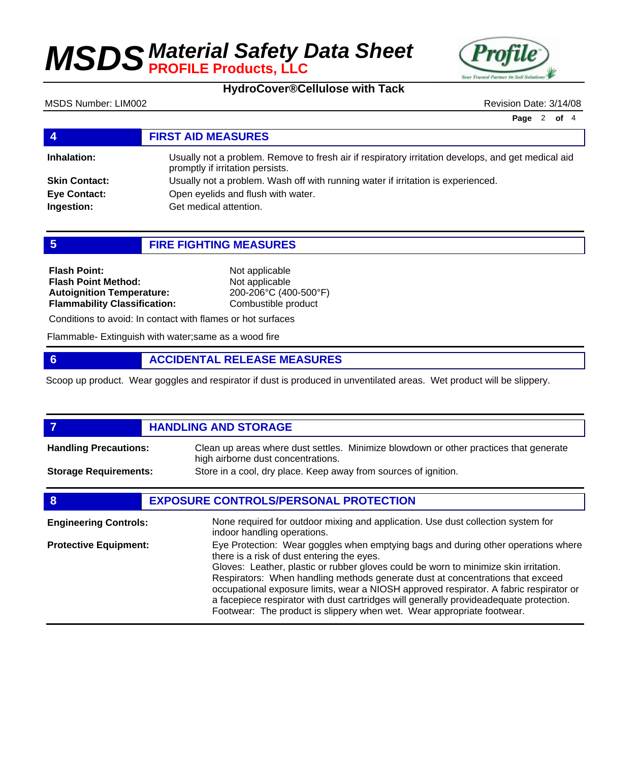

### **HydroCover®Cellulose with Tack**

MSDS Number: LIM002 Revision Date: 3/14/08

**Page** 2 **of** 4

| 4                    | <b>FIRST AID MEASURES</b>                                                                                                              |
|----------------------|----------------------------------------------------------------------------------------------------------------------------------------|
| Inhalation:          | Usually not a problem. Remove to fresh air if respiratory irritation develops, and get medical aid<br>promptly if irritation persists. |
| <b>Skin Contact:</b> | Usually not a problem. Wash off with running water if irritation is experienced.                                                       |
| <b>Eye Contact:</b>  | Open eyelids and flush with water.                                                                                                     |
| Ingestion:           | Get medical attention.                                                                                                                 |
|                      |                                                                                                                                        |

**5 FIRE FIGHTING MEASURES**

| <b>Flash Point:</b>                                            | Not applicable                          |  |
|----------------------------------------------------------------|-----------------------------------------|--|
| <b>Flash Point Method:</b><br><b>Autoignition Temperature:</b> | Not applicable<br>200-206°C (400-500°F) |  |
| <b>Flammability Classification:</b>                            | Combustible product                     |  |

Conditions to avoid: In contact with flames or hot surfaces

Flammable- Extinguish with water;same as a wood fire

### **6 ACCIDENTAL RELEASE MEASURES**

Scoop up product. Wear goggles and respirator if dust is produced in unventilated areas. Wet product will be slippery.

### *HANDLING AND STORAGE* Clean up areas where dust settles. Minimize blowdown or other practices that generate high airborne dust concentrations. **Handling Precautions: Storage Requirements:** Store in a cool, dry place. Keep away from sources of ignition. **8 EXPOSURE CONTROLS/PERSONAL PROTECTION**

| <b>Engineering Controls:</b> | None required for outdoor mixing and application. Use dust collection system for<br>indoor handling operations.                                                                                                                                                                                                                                                                                                                                                                                                                                                         |
|------------------------------|-------------------------------------------------------------------------------------------------------------------------------------------------------------------------------------------------------------------------------------------------------------------------------------------------------------------------------------------------------------------------------------------------------------------------------------------------------------------------------------------------------------------------------------------------------------------------|
| <b>Protective Equipment:</b> | Eye Protection: Wear goggles when emptying bags and during other operations where<br>there is a risk of dust entering the eyes.<br>Gloves: Leather, plastic or rubber gloves could be worn to minimize skin irritation.<br>Respirators: When handling methods generate dust at concentrations that exceed<br>occupational exposure limits, wear a NIOSH approved respirator. A fabric respirator or<br>a facepiece respirator with dust cartridges will generally provideadequate protection.<br>Footwear: The product is slippery when wet. Wear appropriate footwear. |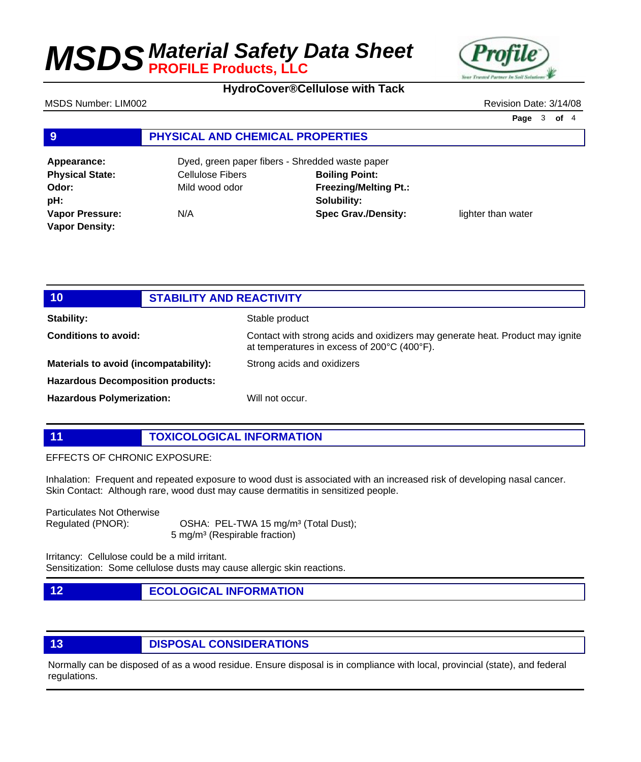**Jour Trusted Part** 

**HydroCover®Cellulose with Tack**

#### MSDS Number: LIM002 Revision Date: 3/14/08

**Page** 3 **of** 4

### **9 PHYSICAL AND CHEMICAL PROPERTIES**

| Appearance:            | Dyed, green paper fibers - Shredded waste paper |                              |                    |
|------------------------|-------------------------------------------------|------------------------------|--------------------|
| <b>Physical State:</b> | Cellulose Fibers                                | <b>Boiling Point:</b>        |                    |
| Odor:                  | Mild wood odor                                  | <b>Freezing/Melting Pt.:</b> |                    |
| pH:                    |                                                 | Solubility:                  |                    |
| <b>Vapor Pressure:</b> | N/A                                             | <b>Spec Grav./Density:</b>   | lighter than water |
| <b>Vapor Density:</b>  |                                                 |                              |                    |

| 10 <sub>1</sub>                          | <b>STABILITY AND REACTIVITY</b>                                                                                              |  |
|------------------------------------------|------------------------------------------------------------------------------------------------------------------------------|--|
| <b>Stability:</b>                        | Stable product                                                                                                               |  |
| Conditions to avoid:                     | Contact with strong acids and oxidizers may generate heat. Product may ignite<br>at temperatures in excess of 200°C (400°F). |  |
| Materials to avoid (incompatability):    | Strong acids and oxidizers                                                                                                   |  |
| <b>Hazardous Decomposition products:</b> |                                                                                                                              |  |
| <b>Hazardous Polymerization:</b>         | Will not occur.                                                                                                              |  |

**11 TOXICOLOGICAL INFORMATION**

#### EFFECTS OF CHRONIC EXPOSURE:

Inhalation: Frequent and repeated exposure to wood dust is associated with an increased risk of developing nasal cancer. Skin Contact: Although rare, wood dust may cause dermatitis in sensitized people.

Particulates Not Otherwise

Regulated (PNOR): OSHA: PEL-TWA 15 mg/m<sup>3</sup> (Total Dust); 5 mg/m³ (Respirable fraction)

Irritancy: Cellulose could be a mild irritant. Sensitization: Some cellulose dusts may cause allergic skin reactions.

**12 ECOLOGICAL INFORMATION** 

### **13 DISPOSAL CONSIDERATIONS**

Normally can be disposed of as a wood residue. Ensure disposal is in compliance with local, provincial (state), and federal regulations.